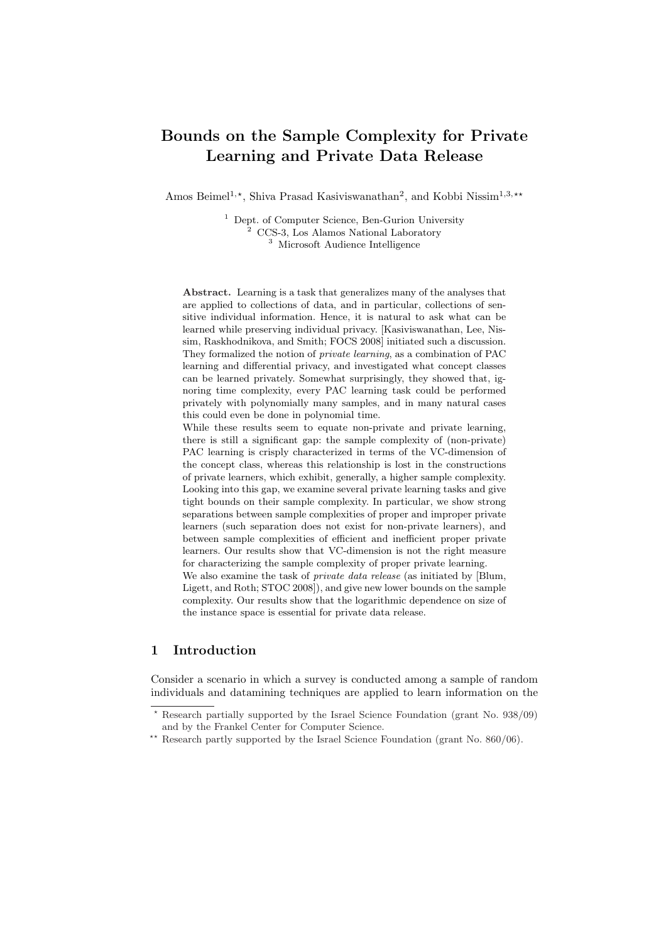# Bounds on the Sample Complexity for Private Learning and Private Data Release

Amos Beimel<sup>1,\*</sup>, Shiva Prasad Kasiviswanathan<sup>2</sup>, and Kobbi Nissim<sup>1,3,\*\*</sup>

<sup>1</sup> Dept. of Computer Science, Ben-Gurion University <sup>2</sup> CCS-3, Los Alamos National Laboratory <sup>3</sup> Microsoft Audience Intelligence

Abstract. Learning is a task that generalizes many of the analyses that are applied to collections of data, and in particular, collections of sensitive individual information. Hence, it is natural to ask what can be learned while preserving individual privacy. [Kasiviswanathan, Lee, Nissim, Raskhodnikova, and Smith; FOCS 2008] initiated such a discussion. They formalized the notion of private learning, as a combination of PAC learning and differential privacy, and investigated what concept classes can be learned privately. Somewhat surprisingly, they showed that, ignoring time complexity, every PAC learning task could be performed privately with polynomially many samples, and in many natural cases this could even be done in polynomial time.

While these results seem to equate non-private and private learning, there is still a significant gap: the sample complexity of (non-private) PAC learning is crisply characterized in terms of the VC-dimension of the concept class, whereas this relationship is lost in the constructions of private learners, which exhibit, generally, a higher sample complexity. Looking into this gap, we examine several private learning tasks and give tight bounds on their sample complexity. In particular, we show strong separations between sample complexities of proper and improper private learners (such separation does not exist for non-private learners), and between sample complexities of efficient and inefficient proper private learners. Our results show that VC-dimension is not the right measure for characterizing the sample complexity of proper private learning. We also examine the task of *private data release* (as initiated by [Blum,

Ligett, and Roth; STOC 2008]), and give new lower bounds on the sample complexity. Our results show that the logarithmic dependence on size of the instance space is essential for private data release.

# 1 Introduction

Consider a scenario in which a survey is conducted among a sample of random individuals and datamining techniques are applied to learn information on the

<sup>?</sup> Research partially supported by the Israel Science Foundation (grant No. 938/09) and by the Frankel Center for Computer Science.

<sup>\*\*</sup> Research partly supported by the Israel Science Foundation (grant No. 860/06).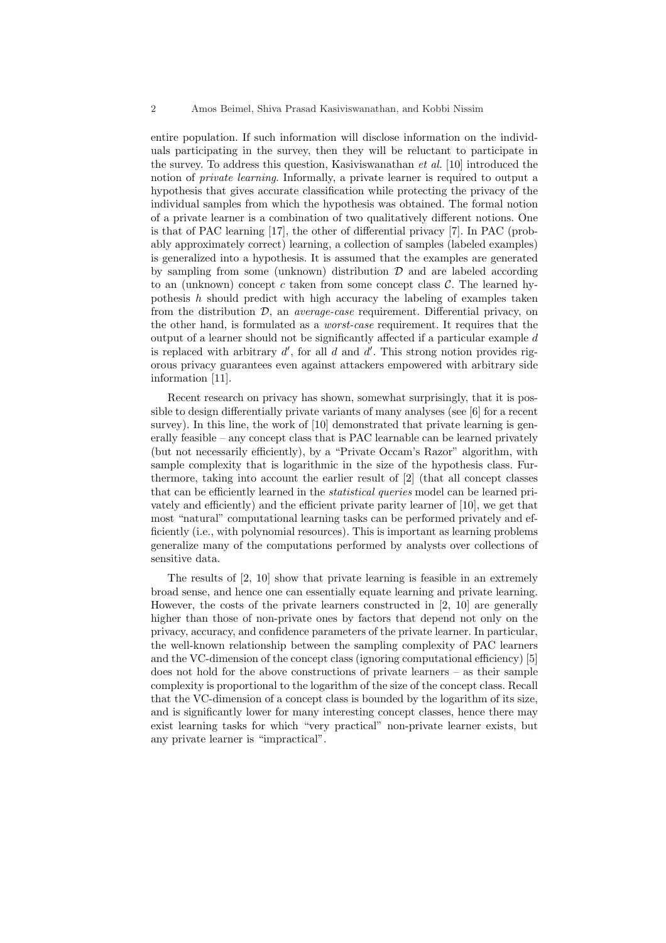entire population. If such information will disclose information on the individuals participating in the survey, then they will be reluctant to participate in the survey. To address this question, Kasiviswanathan et al. [10] introduced the notion of private learning. Informally, a private learner is required to output a hypothesis that gives accurate classification while protecting the privacy of the individual samples from which the hypothesis was obtained. The formal notion of a private learner is a combination of two qualitatively different notions. One is that of PAC learning [17], the other of differential privacy [7]. In PAC (probably approximately correct) learning, a collection of samples (labeled examples) is generalized into a hypothesis. It is assumed that the examples are generated by sampling from some (unknown) distribution  $D$  and are labeled according to an (unknown) concept c taken from some concept class  $\mathcal{C}$ . The learned hypothesis  $h$  should predict with high accuracy the labeling of examples taken from the distribution  $D$ , an *average-case* requirement. Differential privacy, on the other hand, is formulated as a worst-case requirement. It requires that the output of a learner should not be significantly affected if a particular example d is replaced with arbitrary  $d'$ , for all  $d$  and  $d'$ . This strong notion provides rigorous privacy guarantees even against attackers empowered with arbitrary side information [11].

Recent research on privacy has shown, somewhat surprisingly, that it is possible to design differentially private variants of many analyses (see [6] for a recent survey). In this line, the work of [10] demonstrated that private learning is generally feasible – any concept class that is PAC learnable can be learned privately (but not necessarily efficiently), by a "Private Occam's Razor" algorithm, with sample complexity that is logarithmic in the size of the hypothesis class. Furthermore, taking into account the earlier result of [2] (that all concept classes that can be efficiently learned in the *statistical queries* model can be learned privately and efficiently) and the efficient private parity learner of [10], we get that most "natural" computational learning tasks can be performed privately and efficiently (i.e., with polynomial resources). This is important as learning problems generalize many of the computations performed by analysts over collections of sensitive data.

The results of [2, 10] show that private learning is feasible in an extremely broad sense, and hence one can essentially equate learning and private learning. However, the costs of the private learners constructed in [2, 10] are generally higher than those of non-private ones by factors that depend not only on the privacy, accuracy, and confidence parameters of the private learner. In particular, the well-known relationship between the sampling complexity of PAC learners and the VC-dimension of the concept class (ignoring computational efficiency) [5] does not hold for the above constructions of private learners – as their sample complexity is proportional to the logarithm of the size of the concept class. Recall that the VC-dimension of a concept class is bounded by the logarithm of its size, and is significantly lower for many interesting concept classes, hence there may exist learning tasks for which "very practical" non-private learner exists, but any private learner is "impractical".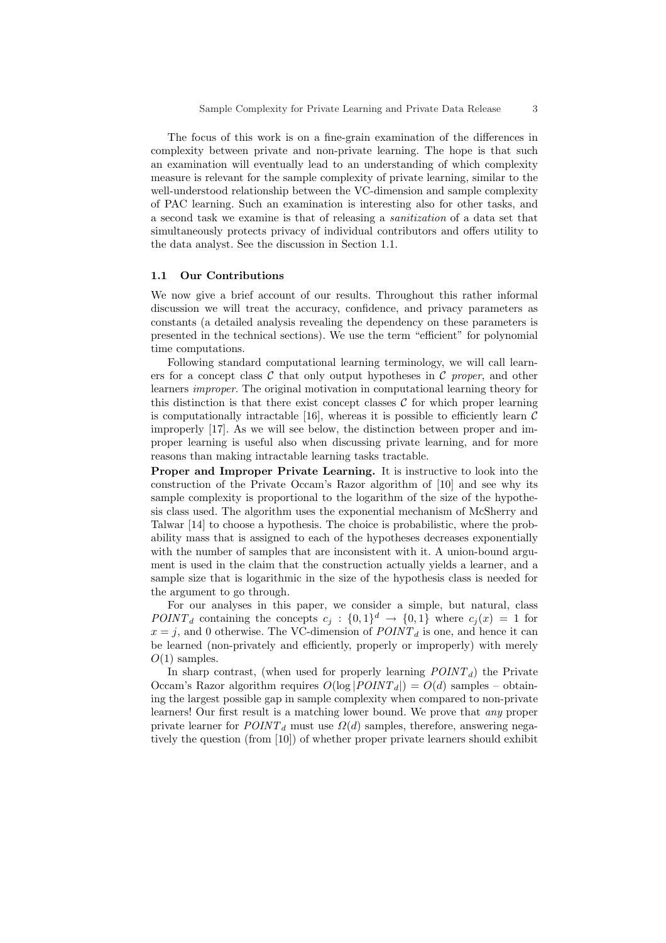The focus of this work is on a fine-grain examination of the differences in complexity between private and non-private learning. The hope is that such an examination will eventually lead to an understanding of which complexity measure is relevant for the sample complexity of private learning, similar to the well-understood relationship between the VC-dimension and sample complexity of PAC learning. Such an examination is interesting also for other tasks, and a second task we examine is that of releasing a sanitization of a data set that simultaneously protects privacy of individual contributors and offers utility to the data analyst. See the discussion in Section 1.1.

### 1.1 Our Contributions

We now give a brief account of our results. Throughout this rather informal discussion we will treat the accuracy, confidence, and privacy parameters as constants (a detailed analysis revealing the dependency on these parameters is presented in the technical sections). We use the term "efficient" for polynomial time computations.

Following standard computational learning terminology, we will call learners for a concept class  $\mathcal C$  that only output hypotheses in  $\mathcal C$  proper, and other learners improper. The original motivation in computational learning theory for this distinction is that there exist concept classes  $\mathcal C$  for which proper learning is computationally intractable [16], whereas it is possible to efficiently learn  $\mathcal C$ improperly [17]. As we will see below, the distinction between proper and improper learning is useful also when discussing private learning, and for more reasons than making intractable learning tasks tractable.

Proper and Improper Private Learning. It is instructive to look into the construction of the Private Occam's Razor algorithm of [10] and see why its sample complexity is proportional to the logarithm of the size of the hypothesis class used. The algorithm uses the exponential mechanism of McSherry and Talwar [14] to choose a hypothesis. The choice is probabilistic, where the probability mass that is assigned to each of the hypotheses decreases exponentially with the number of samples that are inconsistent with it. A union-bound argument is used in the claim that the construction actually yields a learner, and a sample size that is logarithmic in the size of the hypothesis class is needed for the argument to go through.

For our analyses in this paper, we consider a simple, but natural, class POINT<sub>d</sub> containing the concepts  $c_j : \{0,1\}^d \to \{0,1\}$  where  $c_j(x) = 1$  for  $x = j$ , and 0 otherwise. The VC-dimension of  $POLNT_d$  is one, and hence it can be learned (non-privately and efficiently, properly or improperly) with merely  $O(1)$  samples.

In sharp contrast, (when used for properly learning  $POINT<sub>d</sub>$ ) the Private Occam's Razor algorithm requires  $O(\log |PONT_d|) = O(d)$  samples – obtaining the largest possible gap in sample complexity when compared to non-private learners! Our first result is a matching lower bound. We prove that any proper private learner for  $POINT<sub>d</sub>$  must use  $\Omega(d)$  samples, therefore, answering negatively the question (from [10]) of whether proper private learners should exhibit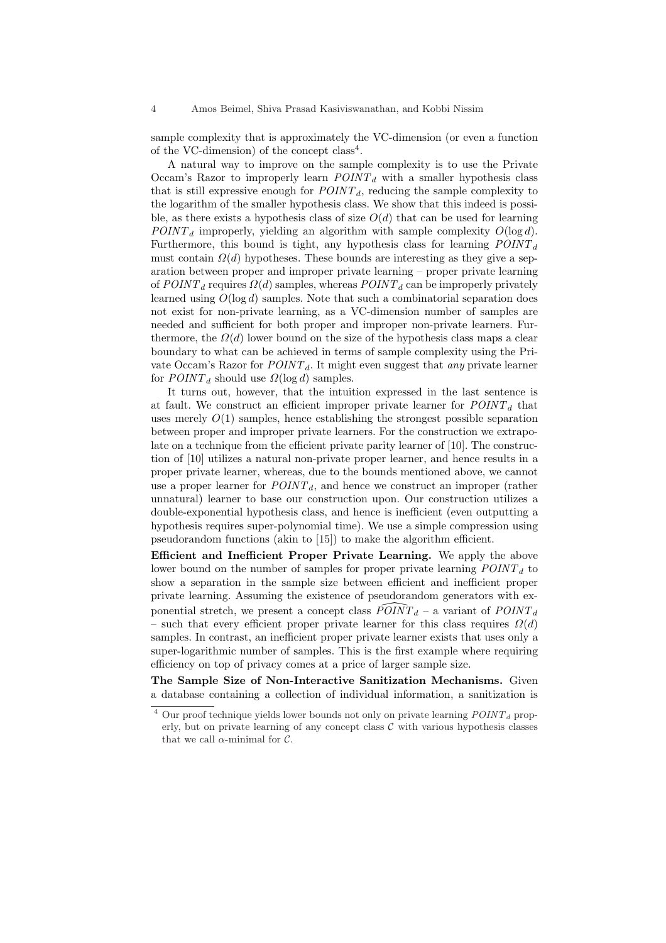sample complexity that is approximately the VC-dimension (or even a function of the VC-dimension) of the concept  $class<sup>4</sup>$ .

A natural way to improve on the sample complexity is to use the Private Occam's Razor to improperly learn  $POINT<sub>d</sub>$  with a smaller hypothesis class that is still expressive enough for  $POLNT_d$ , reducing the sample complexity to the logarithm of the smaller hypothesis class. We show that this indeed is possible, as there exists a hypothesis class of size  $O(d)$  that can be used for learning  $POINT<sub>d</sub>$  improperly, yielding an algorithm with sample complexity  $O(\log d)$ . Furthermore, this bound is tight, any hypothesis class for learning  $POINT<sub>d</sub>$ must contain  $\Omega(d)$  hypotheses. These bounds are interesting as they give a separation between proper and improper private learning – proper private learning of  $POINT<sub>d</sub>$  requires  $\Omega(d)$  samples, whereas  $POINT<sub>d</sub>$  can be improperly privately learned using  $O(\log d)$  samples. Note that such a combinatorial separation does not exist for non-private learning, as a VC-dimension number of samples are needed and sufficient for both proper and improper non-private learners. Furthermore, the  $\Omega(d)$  lower bound on the size of the hypothesis class maps a clear boundary to what can be achieved in terms of sample complexity using the Private Occam's Razor for  $POINT<sub>d</sub>$ . It might even suggest that any private learner for  $POINT<sub>d</sub>$  should use  $\Omega(\log d)$  samples.

It turns out, however, that the intuition expressed in the last sentence is at fault. We construct an efficient improper private learner for  $POLNT<sub>d</sub>$  that uses merely  $O(1)$  samples, hence establishing the strongest possible separation between proper and improper private learners. For the construction we extrapolate on a technique from the efficient private parity learner of [10]. The construction of [10] utilizes a natural non-private proper learner, and hence results in a proper private learner, whereas, due to the bounds mentioned above, we cannot use a proper learner for  $POINT<sub>d</sub>$ , and hence we construct an improper (rather unnatural) learner to base our construction upon. Our construction utilizes a double-exponential hypothesis class, and hence is inefficient (even outputting a hypothesis requires super-polynomial time). We use a simple compression using pseudorandom functions (akin to [15]) to make the algorithm efficient.

Efficient and Inefficient Proper Private Learning. We apply the above lower bound on the number of samples for proper private learning  $POINT<sub>d</sub>$  to show a separation in the sample size between efficient and inefficient proper private learning. Assuming the existence of pseudorandom generators with exponential stretch, we present a concept class  $\widehat{POINT}_d$  – a variant of  $POINT_d$ – such that every efficient proper private learner for this class requires  $\Omega(d)$ samples. In contrast, an inefficient proper private learner exists that uses only a super-logarithmic number of samples. This is the first example where requiring efficiency on top of privacy comes at a price of larger sample size.

The Sample Size of Non-Interactive Sanitization Mechanisms. Given a database containing a collection of individual information, a sanitization is

 $^4$  Our proof technique yields lower bounds not only on private learning  $\mathit{POINT}_d$  properly, but on private learning of any concept class  $C$  with various hypothesis classes that we call  $\alpha$ -minimal for  $\mathcal{C}$ .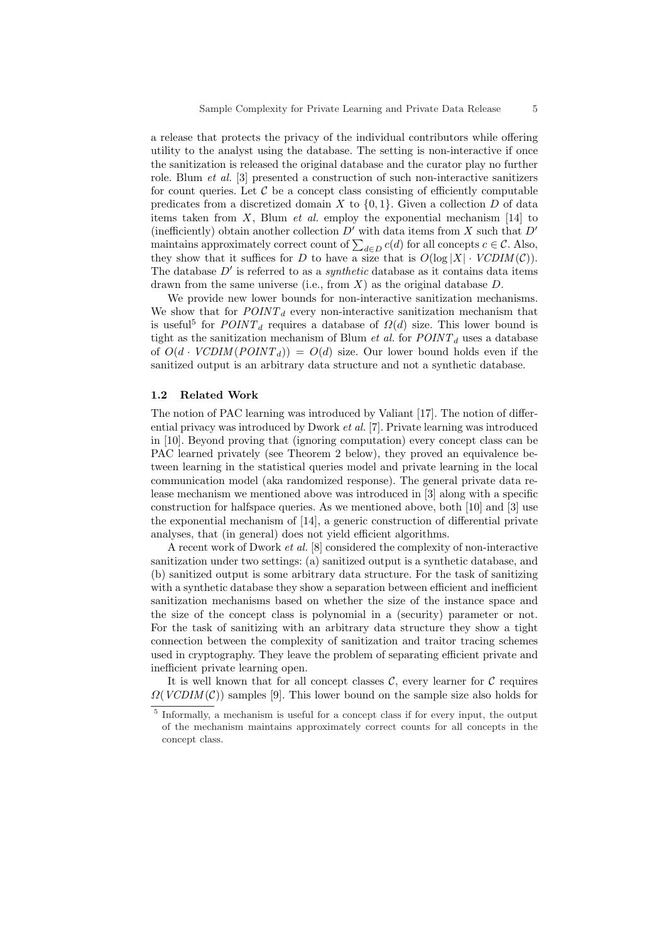a release that protects the privacy of the individual contributors while offering utility to the analyst using the database. The setting is non-interactive if once the sanitization is released the original database and the curator play no further role. Blum et al. [3] presented a construction of such non-interactive sanitizers for count queries. Let  $\mathcal C$  be a concept class consisting of efficiently computable predicates from a discretized domain X to  $\{0, 1\}$ . Given a collection D of data items taken from  $X$ , Blum *et al.* employ the exponential mechanism [14] to (inefficiently) obtain another collection  $D'$  with data items from X such that  $D'$ (inencently) obtain another conection D with data tiems from  $\Lambda$  such that D maintains approximately correct count of  $\sum_{d \in D} c(d)$  for all concepts  $c \in C$ . Also, they show that it suffices for D to have a size that is  $O(\log |X| \cdot VCDIM(C)).$ The database  $D'$  is referred to as a *synthetic* database as it contains data items drawn from the same universe (i.e., from  $X$ ) as the original database  $D$ .

We provide new lower bounds for non-interactive sanitization mechanisms. We show that for  $POINT<sub>d</sub>$  every non-interactive sanitization mechanism that is useful<sup>5</sup> for  $POLNT_d$  requires a database of  $\Omega(d)$  size. This lower bound is tight as the sanitization mechanism of Blum *et al.* for  $POINT<sub>d</sub>$  uses a database of  $O(d \cdot VCDIM(POINT_d)) = O(d)$  size. Our lower bound holds even if the sanitized output is an arbitrary data structure and not a synthetic database.

#### 1.2 Related Work

The notion of PAC learning was introduced by Valiant [17]. The notion of differential privacy was introduced by Dwork et al. [7]. Private learning was introduced in [10]. Beyond proving that (ignoring computation) every concept class can be PAC learned privately (see Theorem 2 below), they proved an equivalence between learning in the statistical queries model and private learning in the local communication model (aka randomized response). The general private data release mechanism we mentioned above was introduced in [3] along with a specific construction for halfspace queries. As we mentioned above, both [10] and [3] use the exponential mechanism of [14], a generic construction of differential private analyses, that (in general) does not yield efficient algorithms.

A recent work of Dwork et al. [8] considered the complexity of non-interactive sanitization under two settings: (a) sanitized output is a synthetic database, and (b) sanitized output is some arbitrary data structure. For the task of sanitizing with a synthetic database they show a separation between efficient and inefficient sanitization mechanisms based on whether the size of the instance space and the size of the concept class is polynomial in a (security) parameter or not. For the task of sanitizing with an arbitrary data structure they show a tight connection between the complexity of sanitization and traitor tracing schemes used in cryptography. They leave the problem of separating efficient private and inefficient private learning open.

It is well known that for all concept classes  $\mathcal{C}$ , every learner for  $\mathcal{C}$  requires  $\Omega(VCDIM(\mathcal{C}))$  samples [9]. This lower bound on the sample size also holds for

<sup>&</sup>lt;sup>5</sup> Informally, a mechanism is useful for a concept class if for every input, the output of the mechanism maintains approximately correct counts for all concepts in the concept class.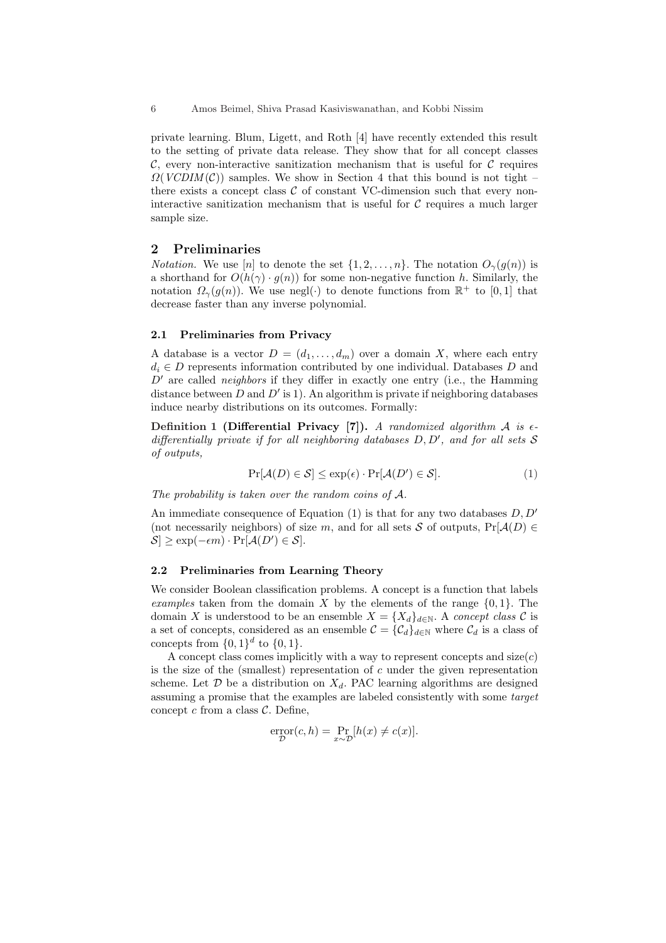6 Amos Beimel, Shiva Prasad Kasiviswanathan, and Kobbi Nissim

private learning. Blum, Ligett, and Roth [4] have recently extended this result to the setting of private data release. They show that for all concept classes  $\mathcal{C}$ , every non-interactive sanitization mechanism that is useful for  $\mathcal{C}$  requires  $\Omega(VCDIM(\mathcal{C}))$  samples. We show in Section 4 that this bound is not tight – there exists a concept class  $\mathcal C$  of constant VC-dimension such that every noninteractive sanitization mechanism that is useful for  $C$  requires a much larger sample size.

# 2 Preliminaries

*Notation.* We use [n] to denote the set  $\{1, 2, \ldots, n\}$ . The notation  $O_{\gamma}(q(n))$  is a shorthand for  $O(h(\gamma) \cdot g(n))$  for some non-negative function h. Similarly, the notation  $\Omega_{\gamma}(g(n))$ . We use negl( $\cdot$ ) to denote functions from  $\mathbb{R}^+$  to [0, 1] that decrease faster than any inverse polynomial.

### 2.1 Preliminaries from Privacy

A database is a vector  $D = (d_1, \ldots, d_m)$  over a domain X, where each entry  $d_i \in D$  represents information contributed by one individual. Databases D and  $D'$  are called *neighbors* if they differ in exactly one entry (i.e., the Hamming distance between D and  $D'$  is 1). An algorithm is private if neighboring databases induce nearby distributions on its outcomes. Formally:

Definition 1 (Differential Privacy [7]). A randomized algorithm  $A$  is  $\epsilon$ differentially private if for all neighboring databases  $D, D'$ , and for all sets  $S$ of outputs,

$$
\Pr[\mathcal{A}(D) \in \mathcal{S}] \le \exp(\epsilon) \cdot \Pr[\mathcal{A}(D') \in \mathcal{S}]. \tag{1}
$$

The probability is taken over the random coins of A.

An immediate consequence of Equation (1) is that for any two databases  $D, D'$ (not necessarily neighbors) of size m, and for all sets S of outputs,  $Pr[\mathcal{A}(D) \in$  $S \ge \exp(-\epsilon m) \cdot \Pr[\mathcal{A}(D') \in \mathcal{S}].$ 

#### 2.2 Preliminaries from Learning Theory

We consider Boolean classification problems. A concept is a function that labels examples taken from the domain X by the elements of the range  $\{0, 1\}$ . The domain X is understood to be an ensemble  $X = \{X_d\}_{d \in \mathbb{N}}$ . A concept class C is a set of concepts, considered as an ensemble  $\mathcal{C} = {\mathcal{C}_d}_{d \in \mathbb{N}}$  where  $\mathcal{C}_d$  is a class of concepts from  $\{0,1\}^d$  to  $\{0,1\}$ .

A concept class comes implicitly with a way to represent concepts and  $size(c)$ is the size of the (smallest) representation of  $c$  under the given representation scheme. Let  $\mathcal D$  be a distribution on  $X_d$ . PAC learning algorithms are designed assuming a promise that the examples are labeled consistently with some target concept  $c$  from a class  $C$ . Define,

$$
\operatorname{error}_{\mathcal{D}}(c, h) = \Pr_{x \sim \mathcal{D}}[h(x) \neq c(x)].
$$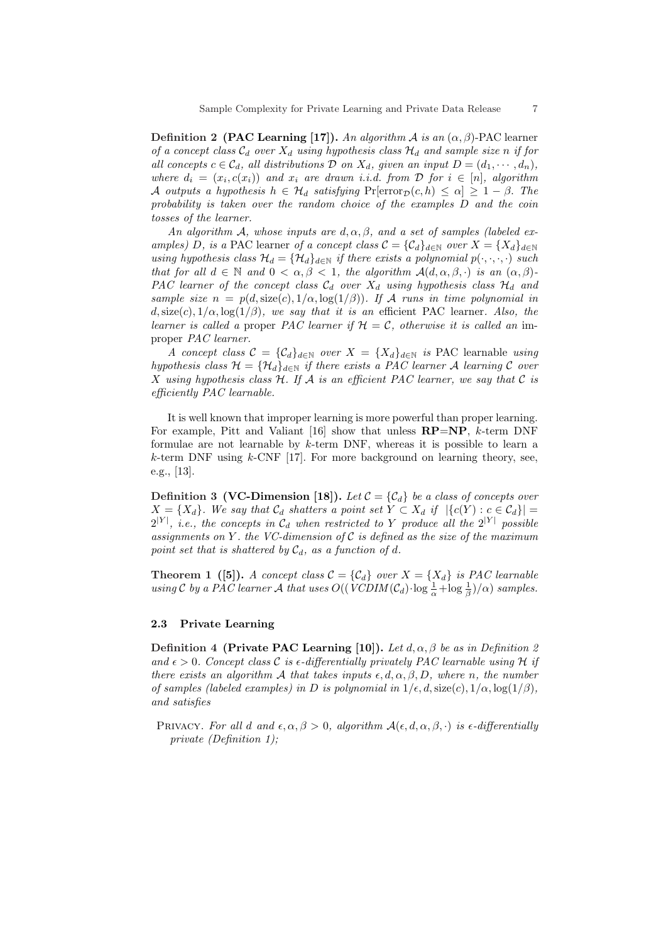Definition 2 (PAC Learning [17]). An algorithm A is an  $(\alpha, \beta)$ -PAC learner of a concept class  $\mathcal{C}_d$  over  $X_d$  using hypothesis class  $\mathcal{H}_d$  and sample size n if for all concepts  $c \in \mathcal{C}_d$ , all distributions  $\mathcal D$  on  $X_d$ , given an input  $D = (d_1, \dots, d_n)$ , where  $d_i = (x_i, c(x_i))$  and  $x_i$  are drawn i.i.d. from  $D$  for  $i \in [n]$ , algorithm A outputs a hypothesis  $h \in \mathcal{H}_d$  satisfying  $Pr[\text{error}_{\mathcal{D}}(c, h) \leq \alpha] \geq 1 - \beta$ . The probability is taken over the random choice of the examples D and the coin tosses of the learner.

An algorithm A, whose inputs are  $d, \alpha, \beta$ , and a set of samples (labeled examples) D, is a PAC learner of a concept class  $\mathcal{C} = {\mathcal{C}_d}_{d \in \mathbb{N}}$  over  $X = \{X_d\}_{d \in \mathbb{N}}$ using hypothesis class  $\mathcal{H}_d = {\mathcal{H}_d}_{d \in \mathbb{N}}$  if there exists a polynomial  $p(\cdot, \cdot, \cdot)$  such that for all  $d \in \mathbb{N}$  and  $0 < \alpha, \beta < 1$ , the algorithm  $\mathcal{A}(d, \alpha, \beta, \cdot)$  is an  $(\alpha, \beta)$ -PAC learner of the concept class  $C_d$  over  $X_d$  using hypothesis class  $\mathcal{H}_d$  and sample size  $n = p(d, \text{size}(c), 1/\alpha, \log(1/\beta))$ . If A runs in time polynomial in  $d$ , size(c),  $1/\alpha$ , log( $1/\beta$ ), we say that it is an efficient PAC learner. Also, the learner is called a proper PAC learner if  $H = C$ , otherwise it is called an improper PAC learner.

A concept class  $C = \{C_d\}_{d\in\mathbb{N}}$  over  $X = \{X_d\}_{d\in\mathbb{N}}$  is PAC learnable using hypothesis class  $\mathcal{H} = {\mathcal{H}_d}_{d \in \mathbb{N}}$  if there exists a PAC learner A learning C over X using hypothesis class  $H$ . If A is an efficient PAC learner, we say that C is efficiently PAC learnable.

It is well known that improper learning is more powerful than proper learning. For example, Pitt and Valiant [16] show that unless  $\mathbf{RP}=\mathbf{NP}, k$ -term DNF formulae are not learnable by  $k$ -term DNF, whereas it is possible to learn a  $k$ -term DNF using  $k$ -CNF [17]. For more background on learning theory, see, e.g., [13].

**Definition 3 (VC-Dimension [18]).** Let  $\mathcal{C} = \{C_d\}$  be a class of concepts over  $X = \{X_d\}$ . We say that  $\mathcal{C}_d$  shatters a point set  $Y \subset X_d$  if  $|\{c(Y) : c \in \mathcal{C}_d\}|$  $2^{|Y|}$ , *i.e.*, the concepts in  $\mathcal{C}_d$  when restricted to Y produce all the  $2^{|Y|}$  possible assignments on Y. the VC-dimension of  $\mathcal C$  is defined as the size of the maximum point set that is shattered by  $\mathcal{C}_d$ , as a function of d.

**Theorem 1 ([5]).** A concept class  $C = \{C_d\}$  over  $X = \{X_d\}$  is PAC learnable using C by a PAC learner A that uses  $O((VCDIM(\mathcal{C}_d) \cdot \log \frac{1}{\alpha} + \log \frac{1}{\beta})/\alpha)$  samples.

### 2.3 Private Learning

Definition 4 (Private PAC Learning [10]). Let  $d, \alpha, \beta$  be as in Definition 2 and  $\epsilon > 0$ . Concept class C is  $\epsilon$ -differentially privately PAC learnable using H if there exists an algorithm A that takes inputs  $\epsilon, d, \alpha, \beta, D$ , where n, the number of samples (labeled examples) in D is polynomial in  $1/\epsilon, d$ , size(c),  $1/\alpha$ ,  $\log(1/\beta)$ , and satisfies

PRIVACY. For all d and  $\epsilon, \alpha, \beta > 0$ , algorithm  $\mathcal{A}(\epsilon, d, \alpha, \beta, \cdot)$  is  $\epsilon$ -differentially private (Definition 1);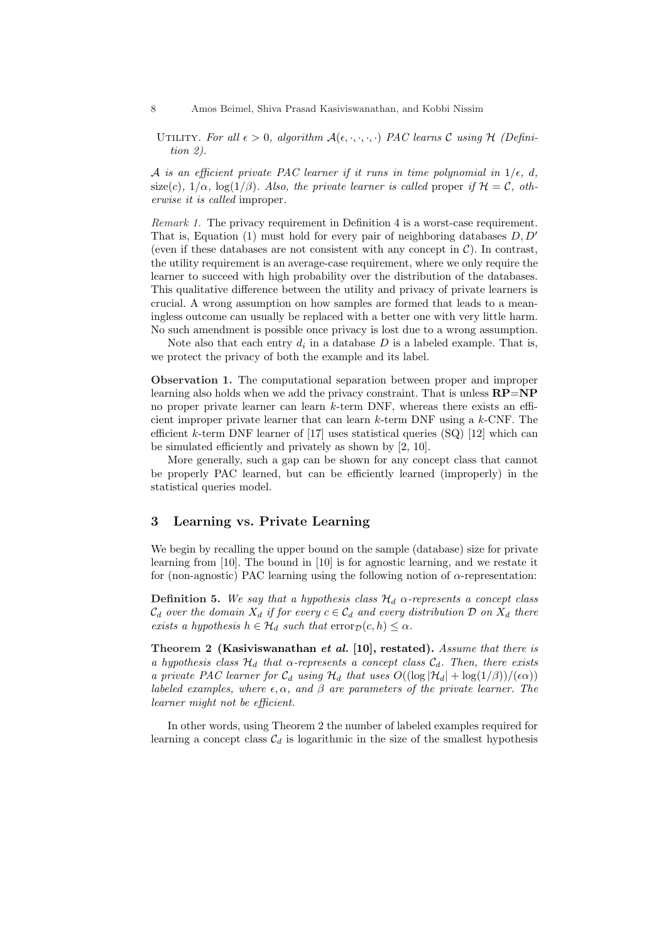8 Amos Beimel, Shiva Prasad Kasiviswanathan, and Kobbi Nissim

UTILITY. For all  $\epsilon > 0$ , algorithm  $\mathcal{A}(\epsilon, \cdot, \cdot, \cdot)$  PAC learns C using H (Definition 2).

A is an efficient private PAC learner if it runs in time polynomial in  $1/\epsilon$ , d, size(c),  $1/\alpha$ , log( $1/\beta$ ). Also, the private learner is called proper if  $\mathcal{H} = \mathcal{C}$ , otherwise it is called improper.

Remark 1. The privacy requirement in Definition 4 is a worst-case requirement. That is, Equation (1) must hold for every pair of neighboring databases  $D, D'$ (even if these databases are not consistent with any concept in  $C$ ). In contrast, the utility requirement is an average-case requirement, where we only require the learner to succeed with high probability over the distribution of the databases. This qualitative difference between the utility and privacy of private learners is crucial. A wrong assumption on how samples are formed that leads to a meaningless outcome can usually be replaced with a better one with very little harm. No such amendment is possible once privacy is lost due to a wrong assumption.

Note also that each entry  $d_i$  in a database  $D$  is a labeled example. That is, we protect the privacy of both the example and its label.

Observation 1. The computational separation between proper and improper learning also holds when we add the privacy constraint. That is unless  $\mathbf{RP}=\mathbf{NP}$ no proper private learner can learn k-term DNF, whereas there exists an efficient improper private learner that can learn  $k$ -term DNF using a  $k$ -CNF. The efficient  $k$ -term DNF learner of [17] uses statistical queries (SQ) [12] which can be simulated efficiently and privately as shown by [2, 10].

More generally, such a gap can be shown for any concept class that cannot be properly PAC learned, but can be efficiently learned (improperly) in the statistical queries model.

# 3 Learning vs. Private Learning

We begin by recalling the upper bound on the sample (database) size for private learning from [10]. The bound in [10] is for agnostic learning, and we restate it for (non-agnostic) PAC learning using the following notion of  $\alpha$ -representation:

**Definition 5.** We say that a hypothesis class  $\mathcal{H}_d$   $\alpha$ -represents a concept class  $\mathcal{C}_d$  over the domain  $X_d$  if for every  $c \in \mathcal{C}_d$  and every distribution  $\mathcal D$  on  $X_d$  there exists a hypothesis  $h \in \mathcal{H}_d$  such that  $\text{error}_{\mathcal{D}}(c, h) \leq \alpha$ .

Theorem 2 (Kasiviswanathan et al. [10], restated). Assume that there is a hypothesis class  $\mathcal{H}_d$  that  $\alpha$ -represents a concept class  $\mathcal{C}_d$ . Then, there exists a private PAC learner for  $C_d$  using  $H_d$  that uses  $O((\log |\mathcal{H}_d| + \log(1/\beta)) / (\epsilon \alpha))$ labeled examples, where  $\epsilon, \alpha$ , and  $\beta$  are parameters of the private learner. The learner might not be efficient.

In other words, using Theorem 2 the number of labeled examples required for learning a concept class  $C_d$  is logarithmic in the size of the smallest hypothesis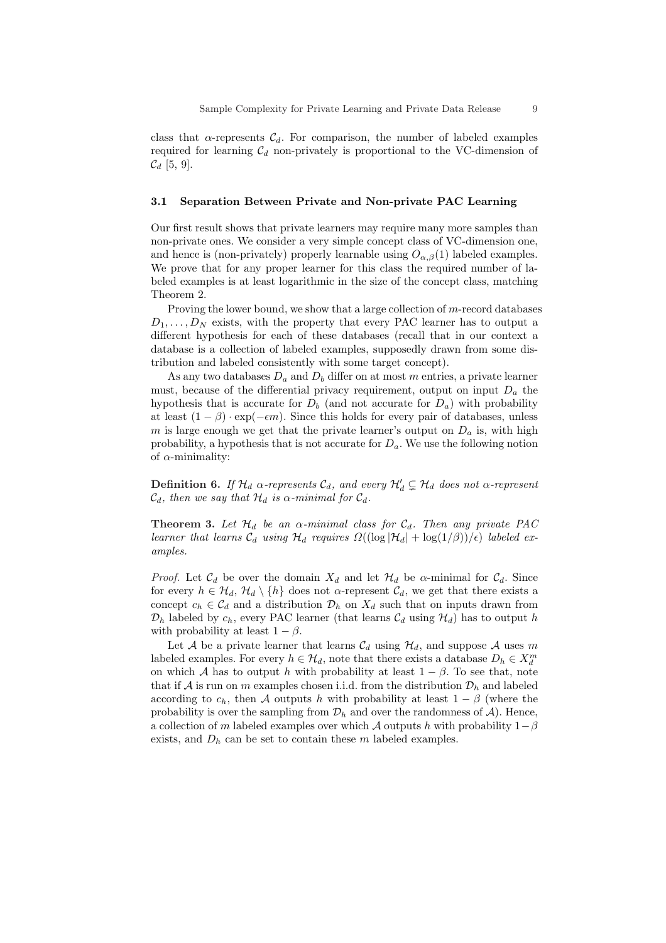class that  $\alpha$ -represents  $\mathcal{C}_d$ . For comparison, the number of labeled examples required for learning  $C_d$  non-privately is proportional to the VC-dimension of  $C_d$  [5, 9].

### 3.1 Separation Between Private and Non-private PAC Learning

Our first result shows that private learners may require many more samples than non-private ones. We consider a very simple concept class of VC-dimension one, and hence is (non-privately) properly learnable using  $O_{\alpha,\beta}(1)$  labeled examples. We prove that for any proper learner for this class the required number of labeled examples is at least logarithmic in the size of the concept class, matching Theorem 2.

Proving the lower bound, we show that a large collection of m-record databases  $D_1, \ldots, D_N$  exists, with the property that every PAC learner has to output a different hypothesis for each of these databases (recall that in our context a database is a collection of labeled examples, supposedly drawn from some distribution and labeled consistently with some target concept).

As any two databases  $D_a$  and  $D_b$  differ on at most m entries, a private learner must, because of the differential privacy requirement, output on input  $D_a$  the hypothesis that is accurate for  $D_b$  (and not accurate for  $D_a$ ) with probability at least  $(1 - \beta) \cdot \exp(-\epsilon m)$ . Since this holds for every pair of databases, unless m is large enough we get that the private learner's output on  $D_a$  is, with high probability, a hypothesis that is not accurate for  $D_a$ . We use the following notion of  $\alpha$ -minimality:

**Definition 6.** If  $\mathcal{H}_d$   $\alpha$ -represents  $\mathcal{C}_d$ , and every  $\mathcal{H}'_d \subsetneq \mathcal{H}_d$  does not  $\alpha$ -represent  $\mathcal{C}_d$ , then we say that  $\mathcal{H}_d$  is  $\alpha$ -minimal for  $\mathcal{C}_d$ .

**Theorem 3.** Let  $\mathcal{H}_d$  be an  $\alpha$ -minimal class for  $\mathcal{C}_d$ . Then any private PAC learner that learns  $\mathcal{C}_d$  using  $\mathcal{H}_d$  requires  $\Omega((\log |\mathcal{H}_d| + \log(1/\beta))/\epsilon)$  labeled examples.

*Proof.* Let  $\mathcal{C}_d$  be over the domain  $X_d$  and let  $\mathcal{H}_d$  be  $\alpha$ -minimal for  $\mathcal{C}_d$ . Since for every  $h \in \mathcal{H}_d$ ,  $\mathcal{H}_d \setminus \{h\}$  does not  $\alpha$ -represent  $\mathcal{C}_d$ , we get that there exists a concept  $c_h \in \mathcal{C}_d$  and a distribution  $\mathcal{D}_h$  on  $X_d$  such that on inputs drawn from  $\mathcal{D}_h$  labeled by  $c_h$ , every PAC learner (that learns  $\mathcal{C}_d$  using  $\mathcal{H}_d$ ) has to output h with probability at least  $1 - \beta$ .

Let A be a private learner that learns  $\mathcal{C}_d$  using  $\mathcal{H}_d$ , and suppose A uses m labeled examples. For every  $h \in \mathcal{H}_d$ , note that there exists a database  $D_h \in X_d^m$ on which A has to output h with probability at least  $1 - \beta$ . To see that, note that if A is run on m examples chosen i.i.d. from the distribution  $\mathcal{D}_h$  and labeled according to  $c_h$ , then A outputs h with probability at least  $1 - \beta$  (where the probability is over the sampling from  $\mathcal{D}_h$  and over the randomness of  $\mathcal{A}$ ). Hence, a collection of m labeled examples over which A outputs h with probability  $1-\beta$ exists, and  $D_h$  can be set to contain these m labeled examples.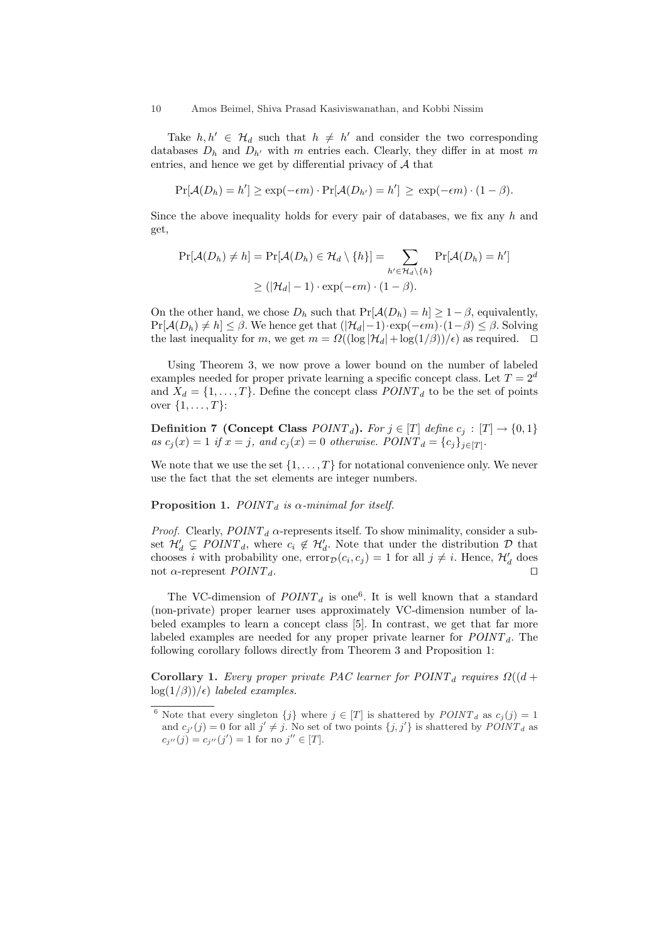Take  $h, h' \in \mathcal{H}_d$  such that  $h \neq h'$  and consider the two corresponding databases  $D_h$  and  $D_{h'}$  with m entries each. Clearly, they differ in at most m entries, and hence we get by differential privacy of  $A$  that

$$
Pr[\mathcal{A}(D_h) = h'] \ge \exp(-\epsilon m) \cdot Pr[\mathcal{A}(D_{h'}) = h'] \ge \exp(-\epsilon m) \cdot (1 - \beta).
$$

Since the above inequality holds for every pair of databases, we fix any  $h$  and get,

$$
Pr[\mathcal{A}(D_h) \neq h] = Pr[\mathcal{A}(D_h) \in \mathcal{H}_d \setminus \{h\}] = \sum_{h' \in \mathcal{H}_d \setminus \{h\}} Pr[\mathcal{A}(D_h) = h']
$$
  
 
$$
\geq (|\mathcal{H}_d| - 1) \cdot \exp(-\epsilon m) \cdot (1 - \beta).
$$

On the other hand, we chose  $D_h$  such that  $Pr[\mathcal{A}(D_h) = h] \geq 1 - \beta$ , equivalently,  $Pr[\mathcal{A}(D_h) \neq h] \leq \beta$ . We hence get that  $(|\mathcal{H}_d| - 1) \cdot \exp(-\epsilon m) \cdot (1 - \beta) \leq \beta$ . Solving the last inequality for m, we get  $m = \Omega((\log |\mathcal{H}_d| + \log(1/\beta))/\epsilon)$  as required.  $\Box$ 

Using Theorem 3, we now prove a lower bound on the number of labeled examples needed for proper private learning a specific concept class. Let  $T = 2^d$ and  $X_d = \{1, \ldots, T\}$ . Define the concept class  $POLNT_d$  to be the set of points over  $\{1, ..., T\}$ :

Definition 7 (Concept Class  $POINT_d$ ). For  $j \in [T]$  define  $c_j : [T] \rightarrow \{0,1\}$ as  $c_j(x) = 1$  if  $x = j$ , and  $c_j(x) = 0$  otherwise.  $\text{POINT}_d = \{c_j\}_{j \in [T]}$ .

We note that we use the set  $\{1, \ldots, T\}$  for notational convenience only. We never use the fact that the set elements are integer numbers.

#### **Proposition 1.** POINT<sub>d</sub> is  $\alpha$ -minimal for itself.

*Proof.* Clearly,  $POINT<sub>d</sub>$   $\alpha$ -represents itself. To show minimality, consider a subset  $\mathcal{H}'_d \subsetneq \text{POINT}_d$ , where  $c_i \notin \mathcal{H}'_d$ . Note that under the distribution  $\mathcal D$  that chooses *i* with probability one,  $error_{\mathcal{D}}(c_i, c_j) = 1$  for all  $j \neq i$ . Hence,  $\mathcal{H}'_d$  does not  $\alpha$ -represent  $\mathit{POINT}_d$ .

The VC-dimension of  $POLNT_d$  is one<sup>6</sup>. It is well known that a standard (non-private) proper learner uses approximately VC-dimension number of labeled examples to learn a concept class [5]. In contrast, we get that far more labeled examples are needed for any proper private learner for  $POLNT_d$ . The following corollary follows directly from Theorem 3 and Proposition 1:

Corollary 1. Every proper private PAC learner for  $POLNT_d$  requires  $\Omega((d +$  $log(1/\beta))/\epsilon$ ) labeled examples.

<sup>&</sup>lt;sup>6</sup> Note that every singleton  $\{j\}$  where  $j \in [T]$  is shattered by  $POLNT_d$  as  $c_j(j) = 1$ and  $c_{j'}(j) = 0$  for all  $j' \neq j$ . No set of two points  $\{j, j'\}$  is shattered by  $\text{POINT}_d$  as  $c_{j''}(j) = c_{j''}(j') = 1$  for no  $j'' \in [T]$ .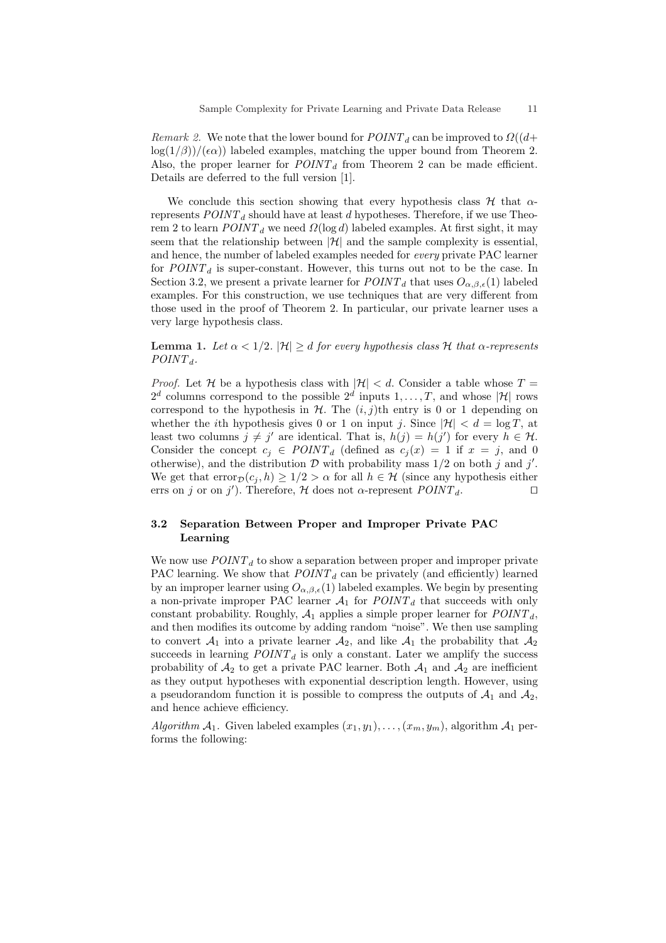*Remark 2.* We note that the lower bound for  $POINT<sub>d</sub>$  can be improved to  $\Omega((d+\epsilon)$  $\log(1/\beta)/(\epsilon \alpha)$  labeled examples, matching the upper bound from Theorem 2. Also, the proper learner for  $POINT_d$  from Theorem 2 can be made efficient. Details are deferred to the full version [1].

We conclude this section showing that every hypothesis class  $\mathcal H$  that  $\alpha$ represents  $POINT<sub>d</sub>$  should have at least d hypotheses. Therefore, if we use Theorem 2 to learn  $POINT<sub>d</sub>$  we need  $\Omega(\log d)$  labeled examples. At first sight, it may seem that the relationship between  $|\mathcal{H}|$  and the sample complexity is essential, and hence, the number of labeled examples needed for every private PAC learner for  $POLNT<sub>d</sub>$  is super-constant. However, this turns out not to be the case. In Section 3.2, we present a private learner for  $POINT<sub>d</sub>$  that uses  $O_{\alpha,\beta,\epsilon}(1)$  labeled examples. For this construction, we use techniques that are very different from those used in the proof of Theorem 2. In particular, our private learner uses a very large hypothesis class.

Lemma 1. Let  $\alpha < 1/2$ .  $|\mathcal{H}| \geq d$  for every hypothesis class H that  $\alpha$ -represents  $POINT_{d}$ .

*Proof.* Let  $H$  be a hypothesis class with  $|H|$  < d. Consider a table whose  $T =$  $2^d$  columns correspond to the possible  $2^d$  inputs  $1, \ldots, T$ , and whose |H| rows correspond to the hypothesis in  $H$ . The  $(i, j)$ th entry is 0 or 1 depending on whether the *i*th hypothesis gives 0 or 1 on input *j*. Since  $|\mathcal{H}| < d = \log T$ , at least two columns  $j \neq j'$  are identical. That is,  $h(j) = h(j')$  for every  $h \in \mathcal{H}$ . Consider the concept  $c_j \in \text{POINT}_d$  (defined as  $c_j(x) = 1$  if  $x = j$ , and 0 otherwise), and the distribution  $\mathcal D$  with probability mass  $1/2$  on both j and j'. We get that  $error_{\mathcal{D}}(c_i, h) \geq 1/2 > \alpha$  for all  $h \in \mathcal{H}$  (since any hypothesis either errs on j or on j'). Therefore,  $H$  does not  $\alpha$ -represent  $POINT_d$ .

# 3.2 Separation Between Proper and Improper Private PAC Learning

We now use  $POLNT<sub>d</sub>$  to show a separation between proper and improper private PAC learning. We show that  $POLNT_d$  can be privately (and efficiently) learned by an improper learner using  $O_{\alpha,\beta,\epsilon}(1)$  labeled examples. We begin by presenting a non-private improper PAC learner  $A_1$  for  $POLNT_d$  that succeeds with only constant probability. Roughly,  $A_1$  applies a simple proper learner for  $POLNT_d$ , and then modifies its outcome by adding random "noise". We then use sampling to convert  $A_1$  into a private learner  $A_2$ , and like  $A_1$  the probability that  $A_2$ succeeds in learning  $POINT<sub>d</sub>$  is only a constant. Later we amplify the success probability of  $A_2$  to get a private PAC learner. Both  $A_1$  and  $A_2$  are inefficient as they output hypotheses with exponential description length. However, using a pseudorandom function it is possible to compress the outputs of  $A_1$  and  $A_2$ , and hence achieve efficiency.

Algorithm  $A_1$ . Given labeled examples  $(x_1, y_1), \ldots, (x_m, y_m)$ , algorithm  $A_1$  performs the following: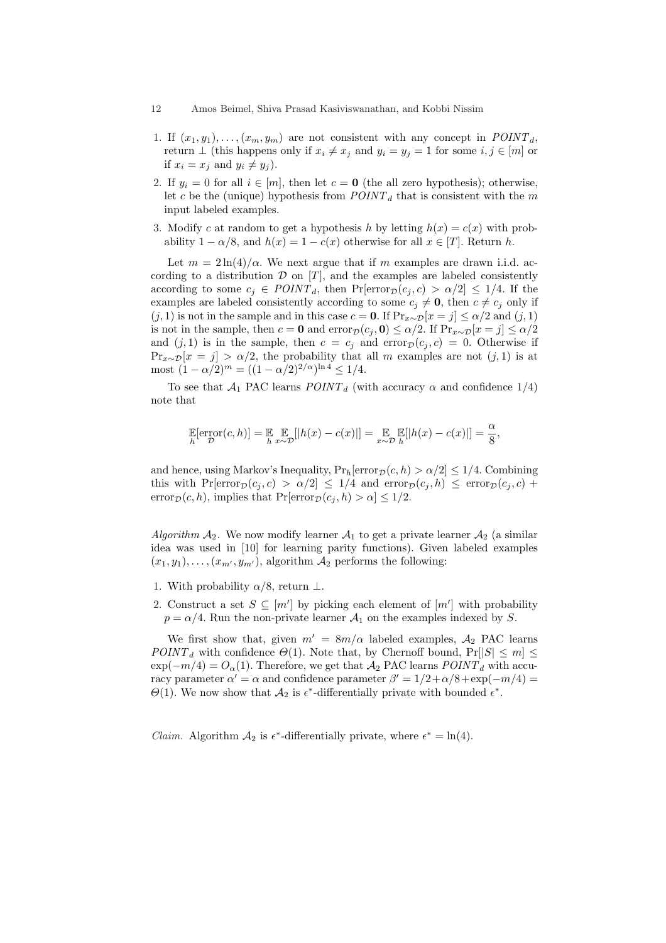- 1. If  $(x_1, y_1), \ldots, (x_m, y_m)$  are not consistent with any concept in  $POINT_d$ , return  $\perp$  (this happens only if  $x_i \neq x_j$  and  $y_i = y_j = 1$  for some  $i, j \in [m]$  or if  $x_i = x_j$  and  $y_i \neq y_j$ .
- 2. If  $y_i = 0$  for all  $i \in [m]$ , then let  $c = 0$  (the all zero hypothesis); otherwise, let c be the (unique) hypothesis from  $POINT<sub>d</sub>$  that is consistent with the m input labeled examples.
- 3. Modify c at random to get a hypothesis h by letting  $h(x) = c(x)$  with probability  $1 - \alpha/8$ , and  $h(x) = 1 - c(x)$  otherwise for all  $x \in [T]$ . Return h.

Let  $m = 2\ln(4)/\alpha$ . We next argue that if m examples are drawn i.i.d. according to a distribution  $D$  on  $[T]$ , and the examples are labeled consistently according to some  $c_j \in \text{POINT}_d$ , then  $\Pr[\text{error}_{\mathcal{D}}(c_j, c) > \alpha/2] \leq 1/4$ . If the examples are labeled consistently according to some  $c_j \neq \mathbf{0}$ , then  $c \neq c_j$  only if  $(j, 1)$  is not in the sample and in this case  $c = 0$ . If  $Pr_{x \sim \mathcal{D}}[x = j] \leq \alpha/2$  and  $(j, 1)$ is not in the sample, then  $c = 0$  and  $error_{\mathcal{D}}(c_i, 0) \leq \alpha/2$ . If  $Pr_{x \sim \mathcal{D}}[x = j] \leq \alpha/2$ and  $(j, 1)$  is in the sample, then  $c = c_j$  and  $error_{\mathcal{D}}(c_j, c) = 0$ . Otherwise if  $Pr_{x\sim\mathcal{D}}[x=j] > \alpha/2$ , the probability that all m examples are not  $(j,1)$  is at most  $(1 - \alpha/2)^m = ((1 - \alpha/2)^{2/\alpha})^{\ln 4} \le 1/4$ .

To see that  $A_1$  PAC learns  $POLNT_d$  (with accuracy  $\alpha$  and confidence 1/4) note that

$$
\mathbb{E}[\text{error}(c,h)] = \mathbb{E} \mathbb{E} \mathbb{E} [h(x) - c(x)] = \mathbb{E} \mathbb{E} [h(x) - c(x)] = \frac{\alpha}{8},
$$

and hence, using Markov's Inequality,  $Pr_h[error_{\mathcal{D}}(c, h) > \alpha/2] \leq 1/4$ . Combining this with  $Pr[\text{error}_{\mathcal{D}}(c_i, c) > \alpha/2] \leq 1/4$  and  $error_{\mathcal{D}}(c_i, h) \leq error_{\mathcal{D}}(c_i, c)$  + error $p(c, h)$ , implies that  $Pr[error_{\mathcal{D}}(c_i, h) > \alpha] \leq 1/2$ .

Algorithm  $A_2$ . We now modify learner  $A_1$  to get a private learner  $A_2$  (a similar idea was used in [10] for learning parity functions). Given labeled examples  $(x_1, y_1), \ldots, (x_{m'}, y_{m'})$ , algorithm  $\mathcal{A}_2$  performs the following:

- 1. With probability  $\alpha/8$ , return  $\perp$ .
- 2. Construct a set  $S \subseteq [m']$  by picking each element of  $[m']$  with probability  $p = \alpha/4$ . Run the non-private learner  $\mathcal{A}_1$  on the examples indexed by S.

We first show that, given  $m' = 8m/\alpha$  labeled examples,  $\mathcal{A}_2$  PAC learns  $POINT<sub>d</sub>$  with confidence  $\Theta(1)$ . Note that, by Chernoff bound,  $Pr[|S| \le m] \le$  $\exp(-m/4) = O_{\alpha}(1)$ . Therefore, we get that  $A_2$  PAC learns  $POINT_{d}$  with accuracy parameter  $\alpha' = \alpha$  and confidence parameter  $\beta' = 1/2 + \alpha/8 + \exp(-m/4) =$  $\Theta(1)$ . We now show that  $\mathcal{A}_2$  is  $\epsilon^*$ -differentially private with bounded  $\epsilon^*$ .

*Claim.* Algorithm  $A_2$  is  $\epsilon^*$ -differentially private, where  $\epsilon^* = \ln(4)$ .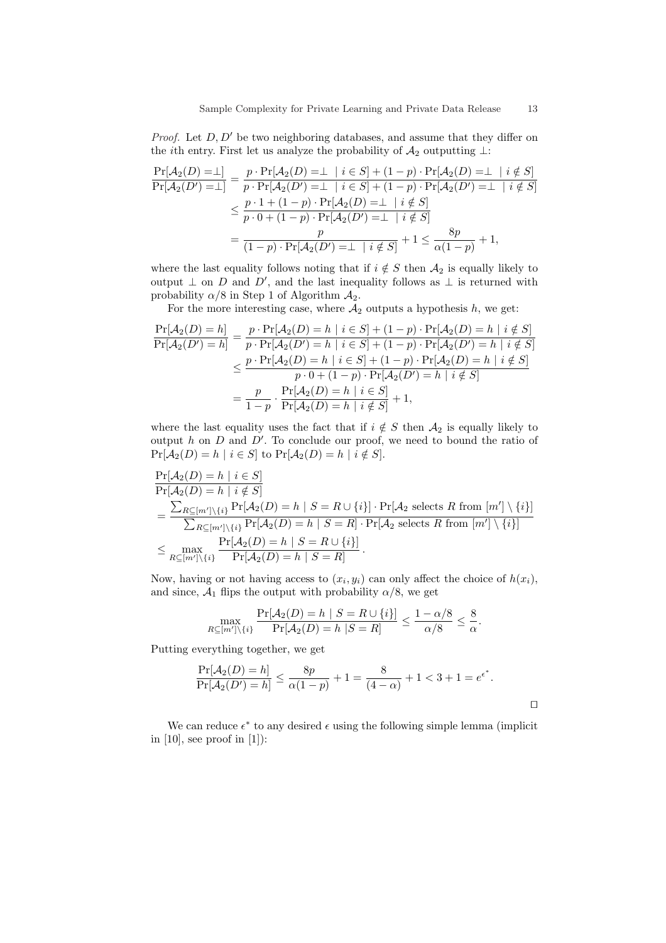*Proof.* Let  $D, D'$  be two neighboring databases, and assume that they differ on the *i*th entry. First let us analyze the probability of  $A_2$  outputting  $\perp$ :

$$
\frac{\Pr[A_2(D) = \perp]}{\Pr[A_2(D') = \perp]} = \frac{p \cdot \Pr[A_2(D) = \perp | i \in S] + (1 - p) \cdot \Pr[A_2(D) = \perp | i \notin S]}{p \cdot \Pr[A_2(D') = \perp | i \in S] + (1 - p) \cdot \Pr[A_2(D') = \perp | i \notin S]} \\
\leq \frac{p \cdot 1 + (1 - p) \cdot \Pr[A_2(D) = \perp | i \notin S]}{p \cdot 0 + (1 - p) \cdot \Pr[A_2(D') = \perp | i \notin S]} \\
= \frac{p}{(1 - p) \cdot \Pr[A_2(D') = \perp | i \notin S]} + 1 \leq \frac{8p}{\alpha(1 - p)} + 1,
$$

where the last equality follows noting that if  $i \notin S$  then  $\mathcal{A}_2$  is equally likely to output  $\perp$  on D and D', and the last inequality follows as  $\perp$  is returned with probability  $\alpha/8$  in Step 1 of Algorithm  $\mathcal{A}_2$ .

For the more interesting case, where  $A_2$  outputs a hypothesis  $h$ , we get:

$$
\frac{\Pr[\mathcal{A}_2(D) = h]}{\Pr[\mathcal{A}_2(D') = h]} = \frac{p \cdot \Pr[\mathcal{A}_2(D) = h | i \in S] + (1 - p) \cdot \Pr[\mathcal{A}_2(D) = h | i \notin S]}{p \cdot \Pr[\mathcal{A}_2(D') = h | i \in S] + (1 - p) \cdot \Pr[\mathcal{A}_2(D') = h | i \notin S]} \le \frac{p \cdot \Pr[\mathcal{A}_2(D) = h | i \in S] + (1 - p) \cdot \Pr[\mathcal{A}_2(D) = h | i \notin S]}{p \cdot 0 + (1 - p) \cdot \Pr[\mathcal{A}_2(D') = h | i \notin S]} = \frac{p}{1 - p} \cdot \frac{\Pr[\mathcal{A}_2(D) = h | i \in S]}{\Pr[\mathcal{A}_2(D) = h | i \notin S]} + 1,
$$

where the last equality uses the fact that if  $i \notin S$  then  $\mathcal{A}_2$  is equally likely to output h on  $D$  and  $D'$ . To conclude our proof, we need to bound the ratio of  $Pr[\mathcal{A}_2(D) = h \mid i \in S]$  to  $Pr[\mathcal{A}_2(D) = h \mid i \notin S].$ 

$$
\Pr[A_2(D) = h \mid i \in S]
$$
\n
$$
\Pr[A_2(D) = h \mid i \notin S]
$$
\n
$$
= \frac{\sum_{R \subseteq [m'] \setminus \{i\}} \Pr[A_2(D) = h \mid S = R \cup \{i\}] \cdot \Pr[A_2 \text{ selects } R \text{ from } [m'] \setminus \{i\}]}{\sum_{R \subseteq [m'] \setminus \{i\}} \Pr[A_2(D) = h \mid S = R] \cdot \Pr[A_2 \text{ selects } R \text{ from } [m'] \setminus \{i\}]}
$$
\n
$$
\leq \max_{R \subseteq [m'] \setminus \{i\}} \frac{\Pr[A_2(D) = h \mid S = R \cup \{i\}]}{\Pr[A_2(D) = h \mid S = R]}.
$$

Now, having or not having access to  $(x_i, y_i)$  can only affect the choice of  $h(x_i)$ , and since,  $A_1$  flips the output with probability  $\alpha/8$ , we get

$$
\max_{R \subseteq [m'] \setminus \{i\}} \frac{\Pr[\mathcal{A}_2(D) = h \mid S = R \cup \{i\}]}{\Pr[\mathcal{A}_2(D) = h \mid S = R]} \le \frac{1 - \alpha/8}{\alpha/8} \le \frac{8}{\alpha}.
$$

Putting everything together, we get

$$
\frac{\Pr[\mathcal{A}_2(D) = h]}{\Pr[\mathcal{A}_2(D') = h]} \le \frac{8p}{\alpha(1-p)} + 1 = \frac{8}{(4-\alpha)} + 1 < 3 + 1 = e^{\epsilon^*}.
$$

We can reduce  $\epsilon^*$  to any desired  $\epsilon$  using the following simple lemma (implicit in  $[10]$ , see proof in  $[1]$ :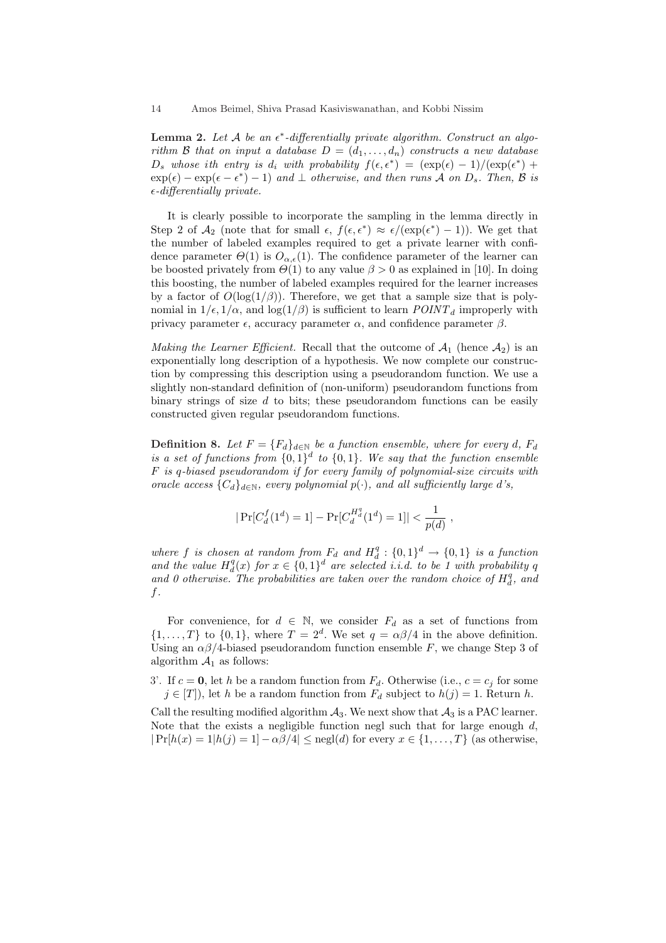**Lemma 2.** Let  $A$  be an  $\epsilon^*$ -differentially private algorithm. Construct an algorithm B that on input a database  $D = (d_1, \ldots, d_n)$  constructs a new database  $D_s$  whose ith entry is  $d_i$  with probability  $f(\epsilon, \epsilon^*) = (\exp(\epsilon) - 1)/(\exp(\epsilon^*) +$  $\exp(\epsilon) - \exp(\epsilon - \epsilon^*) - 1$  and  $\perp$  otherwise, and then runs A on  $D_s$ . Then, B is  $\epsilon$ -differentially private.

It is clearly possible to incorporate the sampling in the lemma directly in Step 2 of  $\mathcal{A}_2$  (note that for small  $\epsilon$ ,  $f(\epsilon, \epsilon^*) \approx \epsilon/(\exp(\epsilon^*)-1)$ ). We get that the number of labeled examples required to get a private learner with confidence parameter  $\Theta(1)$  is  $O_{\alpha,\epsilon}(1)$ . The confidence parameter of the learner can be boosted privately from  $\Theta(1)$  to any value  $\beta > 0$  as explained in [10]. In doing this boosting, the number of labeled examples required for the learner increases by a factor of  $O(\log(1/\beta))$ . Therefore, we get that a sample size that is polynomial in  $1/\epsilon$ ,  $1/\alpha$ , and  $\log(1/\beta)$  is sufficient to learn  $POLNT_d$  improperly with privacy parameter  $\epsilon$ , accuracy parameter  $\alpha$ , and confidence parameter  $\beta$ .

Making the Learner Efficient. Recall that the outcome of  $A_1$  (hence  $A_2$ ) is an exponentially long description of a hypothesis. We now complete our construction by compressing this description using a pseudorandom function. We use a slightly non-standard definition of (non-uniform) pseudorandom functions from binary strings of size  $d$  to bits; these pseudorandom functions can be easily constructed given regular pseudorandom functions.

**Definition 8.** Let  $F = \{F_d\}_{d \in \mathbb{N}}$  be a function ensemble, where for every d,  $F_d$ is a set of functions from  $\{0,1\}^d$  to  $\{0,1\}$ . We say that the function ensemble F is q-biased pseudorandom if for every family of polynomial-size circuits with oracle access  ${C_d}_{d \in \mathbb{N}}$ , every polynomial  $p(\cdot)$ , and all sufficiently large d's,

$$
|\Pr[C_d^f(1^d) = 1] - \Pr[C_d^{H_d^q}(1^d) = 1]| < \frac{1}{p(d)},
$$

where f is chosen at random from  $F_d$  and  $H_d^q: \{0,1\}^d \to \{0,1\}$  is a function and the value  $H_d^q(x)$  for  $x \in \{0,1\}^d$  are selected i.i.d. to be 1 with probability q and 0 otherwise. The probabilities are taken over the random choice of  $H_d^q$ , and  $f$ .

For convenience, for  $d \in \mathbb{N}$ , we consider  $F_d$  as a set of functions from  $\{1,\ldots,T\}$  to  $\{0,1\}$ , where  $T=2^d$ . We set  $q=\alpha\beta/4$  in the above definition. Using an  $\alpha\beta/4$ -biased pseudorandom function ensemble F, we change Step 3 of algorithm  $A_1$  as follows:

3'. If  $c = 0$ , let h be a random function from  $F<sub>d</sub>$ . Otherwise (i.e.,  $c = c<sub>i</sub>$  for some  $j \in [T]$ , let h be a random function from  $F_d$  subject to  $h(j) = 1$ . Return h.

Call the resulting modified algorithm  $A_3$ . We next show that  $A_3$  is a PAC learner. Note that the exists a negligible function negl such that for large enough  $d$ ,  $|\Pr[h(x) = 1|h(j) = 1] - \alpha\beta/4| \leq \text{negl}(d)$  for every  $x \in \{1, ..., T\}$  (as otherwise,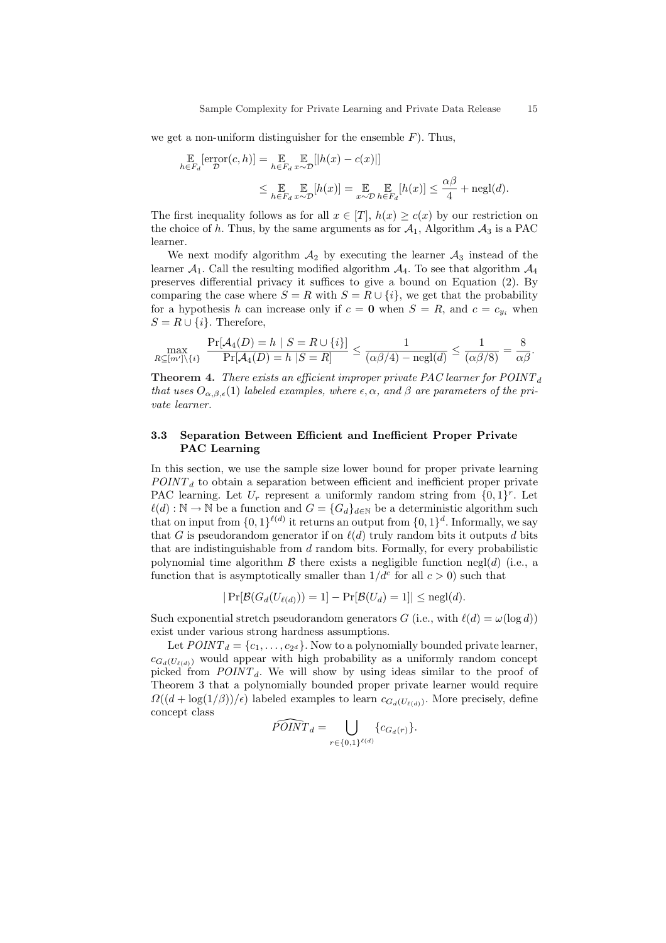we get a non-uniform distinguisher for the ensemble  $F$ ). Thus,

$$
\mathbb{E}_{h \in F_d}[\text{error}(c, h)] = \mathbb{E}_{h \in F_d} \mathbb{E}_{x \sim \mathcal{D}}[h(x) - c(x)]
$$
\n
$$
\leq \mathbb{E}_{h \in F_d} \mathbb{E}_{x \sim \mathcal{D}}[h(x)] = \mathbb{E}_{x \sim \mathcal{D}} \mathbb{E}_{h \in F_d}[h(x)] \leq \frac{\alpha \beta}{4} + \text{negl}(d).
$$

The first inequality follows as for all  $x \in [T]$ ,  $h(x) \ge c(x)$  by our restriction on the choice of h. Thus, by the same arguments as for  $A_1$ , Algorithm  $A_3$  is a PAC learner.

We next modify algorithm  $A_2$  by executing the learner  $A_3$  instead of the learner  $A_1$ . Call the resulting modified algorithm  $A_4$ . To see that algorithm  $A_4$ preserves differential privacy it suffices to give a bound on Equation (2). By comparing the case where  $S = R$  with  $S = R \cup \{i\}$ , we get that the probability for a hypothesis h can increase only if  $c = 0$  when  $S = R$ , and  $c = c_{y_i}$  when  $S = R \cup \{i\}$ . Therefore,

$$
\max_{R\subseteq[m']\backslash\{i\}}\ \frac{\Pr[\mathcal{A}_4(D)=h\mid S=R\cup\{i\}]}{\Pr[\mathcal{A}_4(D)=h\mid S=R]} \leq \frac{1}{(\alpha\beta/4)-\mathrm{negl}(d)} \leq \frac{1}{(\alpha\beta/8)}=\frac{8}{\alpha\beta}.
$$

**Theorem 4.** There exists an efficient improper private PAC learner for  $POINT<sub>d</sub>$ that uses  $O_{\alpha,\beta,\epsilon}(1)$  labeled examples, where  $\epsilon,\alpha$ , and  $\beta$  are parameters of the private learner.

# 3.3 Separation Between Efficient and Inefficient Proper Private PAC Learning

In this section, we use the sample size lower bound for proper private learning  $POINT<sub>d</sub>$  to obtain a separation between efficient and inefficient proper private PAC learning. Let  $U_r$  represent a uniformly random string from  $\{0,1\}^r$ . Let  $\ell(d) : \mathbb{N} \to \mathbb{N}$  be a function and  $G = \{G_d\}_{d\in\mathbb{N}}$  be a deterministic algorithm such that on input from  $\{0,1\}^{\ell(d)}$  it returns an output from  $\{0,1\}^d$ . Informally, we say that G is pseudorandom generator if on  $\ell(d)$  truly random bits it outputs d bits that are indistinguishable from  $d$  random bits. Formally, for every probabilistic polynomial time algorithm  $\beta$  there exists a negligible function negl(d) (i.e., a function that is asymptotically smaller than  $1/d^c$  for all  $c > 0$ ) such that

$$
|\Pr[\mathcal{B}(G_d(U_{\ell(d)})) = 1] - \Pr[\mathcal{B}(U_d) = 1]| \leq \text{negl}(d).
$$

Such exponential stretch pseudorandom generators G (i.e., with  $\ell(d) = \omega(\log d)$ ) exist under various strong hardness assumptions.

Let  $POLNT_d = \{c_1, \ldots, c_{2^d}\}\.$  Now to a polynomially bounded private learner,  $c_{G_d(U_{\ell(d)})}$  would appear with high probability as a uniformly random concept picked from  $POLNT_d$ . We will show by using ideas similar to the proof of Theorem 3 that a polynomially bounded proper private learner would require  $\Omega((d + \log(1/\beta))/\epsilon)$  labeled examples to learn  $c_{G_d(U_{\ell(d)})}$ . More precisely, define concept class  $\overline{\phantom{a}}$ 

$$
\widehat{PON}T_d = \bigcup_{r \in \{0,1\}^{\ell(d)}} \{c_{G_d(r)}\}.
$$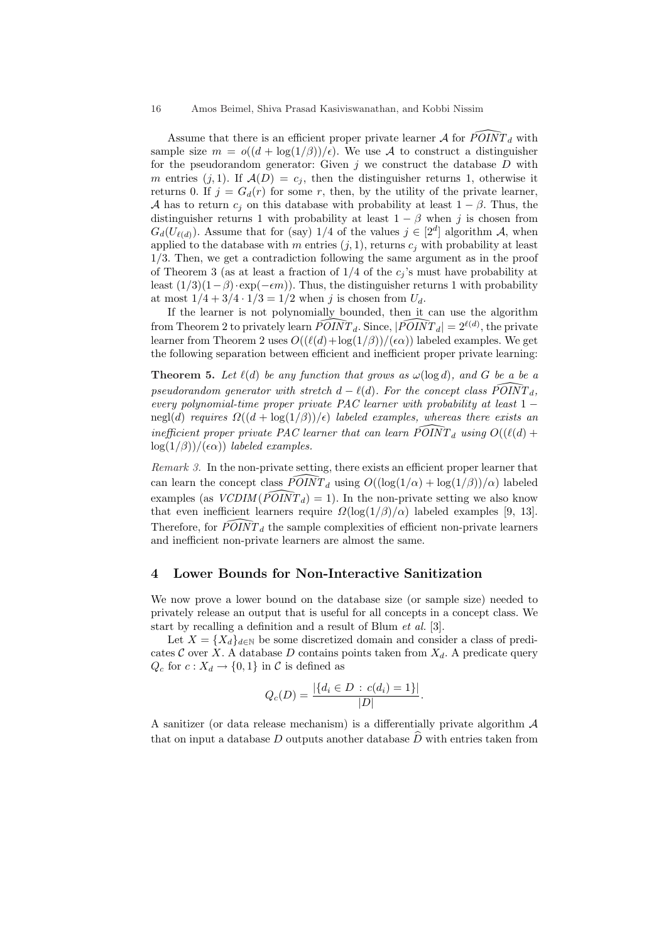Assume that there is an efficient proper private learner  $A$  for  $\bar{P}OINT_d$  with sample size  $m = o((d + \log(1/\beta))/\epsilon)$ . We use A to construct a distinguisher for the pseudorandom generator: Given  $j$  we construct the database  $D$  with m entries  $(j, 1)$ . If  $\mathcal{A}(D) = c_j$ , then the distinguisher returns 1, otherwise it returns 0. If  $j = G<sub>d</sub>(r)$  for some r, then, by the utility of the private learner, A has to return  $c_i$  on this database with probability at least  $1 - \beta$ . Thus, the distinguisher returns 1 with probability at least  $1 - \beta$  when j is chosen from  $G_d(U_{\ell(d)})$ . Assume that for (say) 1/4 of the values  $j \in [2^d]$  algorithm A, when applied to the database with m entries  $(j, 1)$ , returns  $c_j$  with probability at least 1/3. Then, we get a contradiction following the same argument as in the proof of Theorem 3 (as at least a fraction of  $1/4$  of the  $c_i$ 's must have probability at least  $(1/3)(1-\beta) \cdot \exp(-\epsilon m)$ . Thus, the distinguisher returns 1 with probability at most  $1/4 + 3/4 \cdot 1/3 = 1/2$  when j is chosen from  $U_d$ .

If the learner is not polynomially bounded, then it can use the algorithm from Theorem 2 to privately learn  $\widehat{POINT}_{d}$ . Since,  $|\widehat{POINT}_{d}| = 2^{\ell(d)}$ , the private learner from Theorem 2 uses  $O((\ell(d)+\log(1/\beta))/(\epsilon \alpha))$  labeled examples. We get the following separation between efficient and inefficient proper private learning:

**Theorem 5.** Let  $\ell(d)$  be any function that grows as  $\omega(\log d)$ , and G be a be a pseudorandom generator with stretch  $d - \ell(d)$ . For the concept class  $\widehat{POINT}_d$ , every polynomial-time proper private PAC learner with probability at least  $1$ negl(d) requires  $\Omega((d + \log(1/\beta))/\epsilon)$  labeled examples, whereas there exists an inefficient proper private PAC learner that can learn  $\widehat{POINT}_d$  using  $O((\ell(d) +$  $log(1/\beta)$ )/( $\epsilon \alpha$ )) labeled examples.

Remark 3. In the non-private setting, there exists an efficient proper learner that can learn the concept class  $\widehat{POINT}_d$  using  $O((\log(1/\alpha) + \log(1/\beta))/\alpha)$  labeled examples (as  $VCDIM(\widehat{POLNT}_d) = 1$ ). In the non-private setting we also know that even inefficient learners require  $\Omega(\log(1/\beta)/\alpha)$  labeled examples [9, 13]. Therefore, for  $\widehat{POINT}_d$  the sample complexities of efficient non-private learners and inefficient non-private learners are almost the same.

# 4 Lower Bounds for Non-Interactive Sanitization

We now prove a lower bound on the database size (or sample size) needed to privately release an output that is useful for all concepts in a concept class. We start by recalling a definition and a result of Blum et al. [3].

Let  $X = \{X_d\}_{d \in \mathbb{N}}$  be some discretized domain and consider a class of predicates  $C$  over X. A database D contains points taken from  $X_d$ . A predicate query  $Q_c$  for  $c: X_d \rightarrow \{0,1\}$  in  $\mathcal C$  is defined as

$$
Q_c(D) = \frac{|\{d_i \in D : c(d_i) = 1\}|}{|D|}.
$$

A sanitizer (or data release mechanism) is a differentially private algorithm A that on input a database D outputs another database  $\hat{D}$  with entries taken from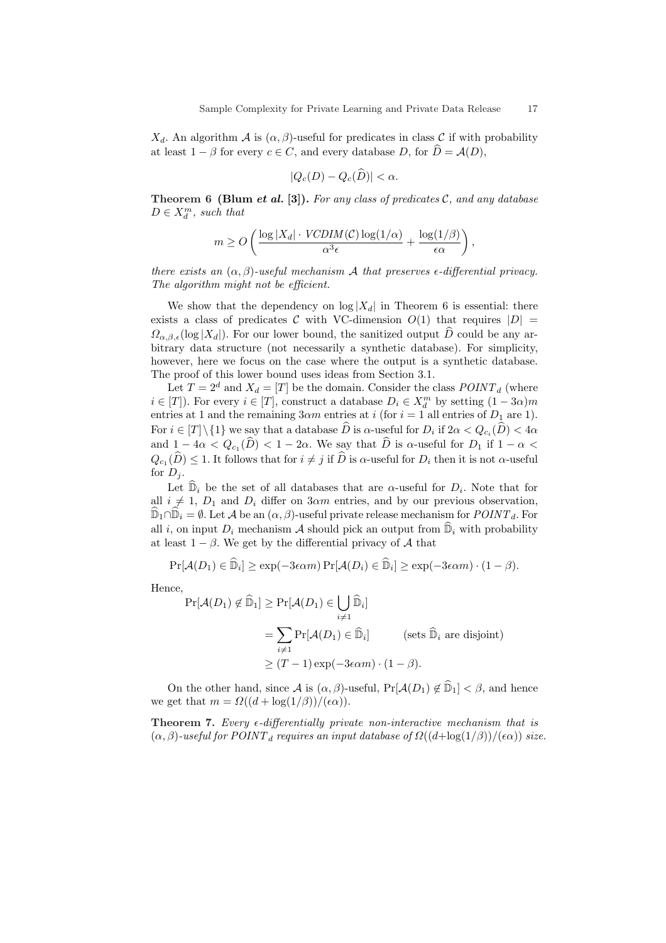$X_d$ . An algorithm  $\mathcal A$  is  $(\alpha, \beta)$ -useful for predicates in class C if with probability at least  $1 - \beta$  for every  $c \in C$ , and every database D, for  $\widehat{D} = \mathcal{A}(D)$ ,

$$
|Q_c(D) - Q_c(\widehat{D})| < \alpha.
$$

Theorem 6 (Blum et al. [3]). For any class of predicates  $C$ , and any database  $D \in X_d^m$ , such that

$$
m \ge O\left(\frac{\log |X_d| \cdot VCDIM(\mathcal{C}) \log(1/\alpha)}{\alpha^3 \epsilon} + \frac{\log(1/\beta)}{\epsilon \alpha}\right),\,
$$

there exists an  $(\alpha, \beta)$ -useful mechanism A that preserves  $\epsilon$ -differential privacy. The algorithm might not be efficient.

We show that the dependency on  $\log |X_d|$  in Theorem 6 is essential: there exists a class of predicates C with VC-dimension  $O(1)$  that requires  $|D|$  =  $\Omega_{\alpha,\beta,\epsilon}(\log |X_d|)$ . For our lower bound, the sanitized output  $\hat{D}$  could be any arbitrary data structure (not necessarily a synthetic database). For simplicity, however, here we focus on the case where the output is a synthetic database. The proof of this lower bound uses ideas from Section 3.1.

Let  $T = 2^d$  and  $X_d = [T]$  be the domain. Consider the class  $POLNT_d$  (where  $i \in [T]$ ). For every  $i \in [T]$ , construct a database  $D_i \in X_d^m$  by setting  $(1 - 3\alpha)m$ entries at 1 and the remaining  $3\alpha m$  entries at *i* (for  $i = 1$  all entries of  $D_1$  are 1). For  $i \in [T] \setminus \{1\}$  we say that a database  $\widehat{D}$  is  $\alpha$ -useful for  $D_i$  if  $2\alpha < Q_{c_i}(\widehat{D}) < 4\alpha$ and  $1-4\alpha < Q_{c_1}(\widehat{D}) < 1-2\alpha$ . We say that  $\widehat{D}$  is  $\alpha$ -useful for  $D_1$  if  $1-\alpha <$  $Q_{c_1}(\widehat{D}) \leq 1$ . It follows that for  $i \neq j$  if  $\widehat{D}$  is  $\alpha$ -useful for  $D_i$  then it is not  $\alpha$ -useful for  $D_i$ .

Let  $\widehat{\mathbb{D}}_i$  be the set of all databases that are  $\alpha$ -useful for  $D_i$ . Note that for all  $i \neq 1$ ,  $D_1$  and  $D_i$  differ on 3 $\alpha$ m entries, and by our previous observation,  $\mathbb{D}_1 \cap \mathbb{D}_i = \emptyset$ . Let A be an  $(\alpha, \beta)$ -useful private release mechanism for  $\text{POINT}_d$ . For all i, on input  $D_i$  mechanism A should pick an output from  $\mathbb{D}_i$  with probability at least  $1 - \beta$ . We get by the differential privacy of A that

$$
\Pr[\mathcal{A}(D_1) \in \widehat{\mathbb{D}}_i] \ge \exp(-3\epsilon \alpha m) \Pr[\mathcal{A}(D_i) \in \widehat{\mathbb{D}}_i] \ge \exp(-3\epsilon \alpha m) \cdot (1 - \beta).
$$

Hence,

$$
\Pr[\mathcal{A}(D_1) \notin \widehat{\mathbb{D}}_1] \ge \Pr[\mathcal{A}(D_1) \in \bigcup_{i \ne 1} \widehat{\mathbb{D}}_i]
$$
  
= 
$$
\sum_{i \ne 1} \Pr[\mathcal{A}(D_1) \in \widehat{\mathbb{D}}_i]
$$
 (sets  $\widehat{\mathbb{D}}_i$  are disjoint)  

$$
\ge (T - 1) \exp(-3\epsilon \alpha m) \cdot (1 - \beta).
$$

On the other hand, since A is  $(\alpha, \beta)$ -useful,  $Pr[\mathcal{A}(D_1) \notin \mathbb{D}_1] < \beta$ , and hence we get that  $m = \Omega((d + \log(1/\beta)) / (\epsilon \alpha)).$ 

**Theorem 7.** Every  $\epsilon$ -differentially private non-interactive mechanism that is  $(\alpha, \beta)$ -useful for POINT<sub>d</sub> requires an input database of  $\Omega((d + \log(1/\beta)) / (\epsilon \alpha))$  size.